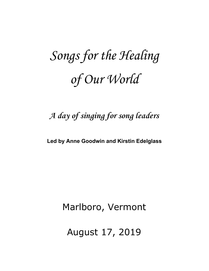# Songs for the Healing of Our World

# **A day of singing for song leaders**

**Led by Anne Goodwin and Kirstin Edelglass**

Marlboro, Vermont

August 17, 2019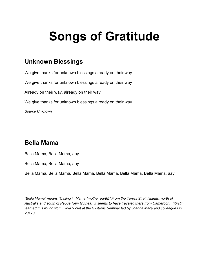# **Songs of Gratitude**

# **Unknown Blessings**

We give thanks for unknown blessings already on their way We give thanks for unknown blessings already on their way Already on their way, already on their way We give thanks for unknown blessings already on their way *Source Unknown*

# **Bella Mama**

Bella Mama, Bella Mama, aay

Bella Mama, Bella Mama, aay

Bella Mama, Bella Mama, Bella Mama, Bella Mama, Bella Mama, Bella Mama, aay

*"Bella Mama" means "Calling in Mama (mother earth)" From the Torres Strait Islands, north of Australia and south of Papua New Guinea. It seems to have traveled there from Cameroon. (Kirstin learned this round from Lydia Violet at the Systems Seminar led by Joanna Macy and colleagues in 2017.)*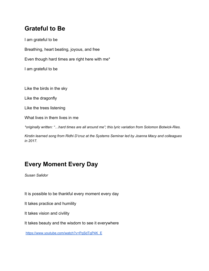# **Grateful to Be**

I am grateful to be

Breathing, heart beating, joyous, and free

Even though hard times are right here with me\*

I am grateful to be

Like the birds in the sky

Like the dragonfly

Like the trees listening

What lives in them lives in me

*\*originally written: "…hard times are all around me"; this lyric variation from Solomon Botwick-Ries.*

*Kirstin learned song from Ridhi D'cruz at the Systems Seminar led by Joanna Macy and colleagues in 2017.*

# **Every Moment Every Day**

*Susan Salidor*

It is possible to be thankful every moment every day

It takes practice and humility

It takes vision and civility

It takes beauty and the wisdom to see it everywhere

[https://www.youtube.com/watch?v=PqSdTqP4K\\_E](https://www.youtube.com/watch?v=PqSdTqP4K_E)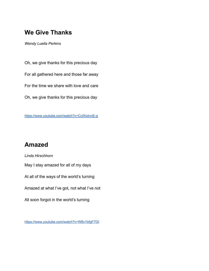# **We Give Thanks**

*Wendy Luella Perkins*

Oh, we give thanks for this precious day For all gathered here and those far away For the time we share with love and care Oh, we give thanks for this precious day

<https://www.youtube.com/watch?v=Cc0hotvnE-g>

# **Amazed**

*Linda Hirschhorn* May I stay amazed for all of my days At all of the ways of the world's turning Amazed at what I've got, not what I've not All soon forgot in the world's turning

<https://www.youtube.com/watch?v=W8v1bfgF7GI>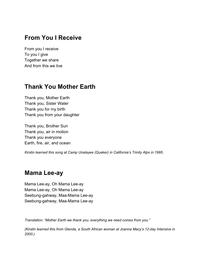# **From You I Receive**

From you I receive To you I give Together we share And from this we live

# **Thank You Mother Earth**

Thank you, Mother Earth Thank you, Sister Water Thank you for my birth Thank you from your daughter

Thank you, Brother Sun Thank you, air in motion Thank you everyone Earth, fire, air, and ocean

*Kirstin learned this song at Camp Unalayee (Quaker) in California's Trinity Alps in 1995.*

### **Mama Lee-ay**

Mama Lee-ay, Oh Mama Lee-ay Mama Lee-ay, Oh Mama Lee-ay Seebung-gahway, Maa-Mama Lee-ay Seebung-gahway, Maa-Mama Lee-ay

*Translation: "Mother Earth we thank you, everything we need comes from you."*

*(Kirstin learned this from Glenda, a South African woman at Joanna Macy's 12-day Intensive in 2000.)*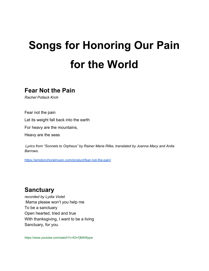# **Songs for Honoring Our Pain for the World**

#### **Fear Not the Pain**

*Rachel Pollack Kroh*

Fear not the pain

Let its weight fall back into the earth

For heavy are the mountains,

Heavy are the seas

*Lyrics from "Sonnets to Orpheus" by Rainer Maria Rilke, translated by Joanna Macy and Anita Barrows.*

<https://amidonchoralmusic.com/product/fear-not-the-pain/>

### **Sanctuary**

*recorded by Lydia Violet* Mama please won't you help me To be a sanctuary Open hearted, tried and true With thanksgiving, I want to be a living Sanctuary, for you.

https://www.youtube.com/watch?v=tOn7jM4Wppw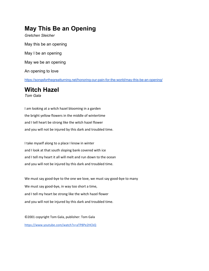# **May This Be an Opening**

*Gretchen Sleicher* May this be an opening May I be an opening May we be an opening An opening to love <https://songsforthegreatturning.net/honoring-our-pain-for-the-world/may-this-be-an-opening/>

## **Witch Hazel**

*Tom Gala*

I am looking at a witch hazel blooming in a garden the bright yellow flowers in the middle of wintertime and I tell heart be strong like the witch hazel flower and you will not be injured by this dark and troubled time.

I take myself along to a place I know in winter and I look at that south sloping bank covered with ice and I tell my heart it all will melt and run down to the ocean and you will not be injured by this dark and troubled time.

We must say good-bye to the one we love, we must say good-bye to many We must say good-bye, in way too short a time, and I tell my heart be strong like the witch hazel flower and you will not be injured by this dark and troubled time.

©2001 copyright Tom Gala, publisher: Tom Gala <https://www.youtube.com/watch?v=aTP8Pe2HCkQ>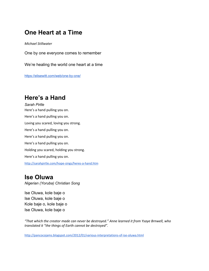# **One Heart at a Time**

*Michael Stillwater*

One by one everyone comes to remember

We're healing the world one heart at a time

<https://elisewitt.com/web/one-by-one/>

# **Here's a Hand**

*Sarah Pirtle* Here's a hand pulling you on. Here's a hand pulling you on. Loving you scared, loving you strong. Here's a hand pulling you on. Here's a hand pulling you on. Here's a hand pulling you on. Holding you scared, holding you strong. Here's a hand pulling you on. <http://sarahpirtle.com/hope-sings/heres-a-hand.htm>

#### **Ise Oluwa**

*Nigerian (Yoruba) Christian Song*

Ise Oluwa, kole baje o Ise Oluwa, kole baje o Kole baje o, kole baje o Ise Oluwa, kole baje o

*"That which the creator made can never be destroyed." Anne learned it from Ysaye Brnwell, who translated it "the things of Earth cannot be destroyed".*

<http://pancocojams.blogspot.com/2012/01/various-interpretations-of-ise-oluwa.html>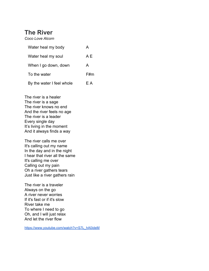## **The River**

*Coco Love Alcorn*

| Water heal my body        |     |
|---------------------------|-----|
| Water heal my soul        | AΕ  |
| When I go down, down      | A   |
| To the water              | F#m |
| By the water I feel whole | FΑ  |

The river is a healer The river is a sage The river knows no end And the river feels no age The river is a leader Every single day It's living in the moment And it always finds a way

The river calls me over It's calling out my name In the day and in the night I hear that river all the same It's calling me over Calling out my pain Oh a river gathers tears Just like a river gathers rain

The river is a traveler Always on the go A river never worries If it's fast or if it's slow River take me To where I need to go Oh, and I will just relax And let the river flow

[https://www.youtube.com/watch?v=S7L\\_hA0ideM](https://www.youtube.com/watch?v=S7L_hA0ideM)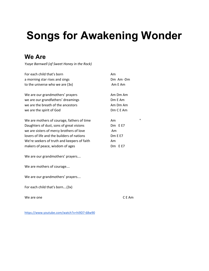# **Songs for Awakening Wonder**

# **We Are**

*Ysaye Barnwell (of Sweet Honey in the Rock)*

| For each child that's born                  | Am                   |
|---------------------------------------------|----------------------|
| a morning star rises and sings              | Dm Am-Dm             |
| to the universe who we are (3x)             | Am E Am              |
|                                             |                      |
| We are our grandmothers' prayers            | Am Dm Am             |
| we are our grandfathers' dreamings          | Dm E Am              |
| we are the breath of the ancestors          | Am Dm Am             |
| we are the spirit of God                    | Dm C E Am            |
|                                             |                      |
| We are mothers of courage, fathers of time  | $\blacksquare$<br>Am |
| Daughters of dust, sons of great visions    | Dm EE7               |
| we are sisters of mercy brothers of love    | Am                   |
| lovers of life and the builders of nations  | Dm E E7              |
| We're seekers of truth and keepers of faith | Am                   |
| makers of peace, wisdom of ages             | Dm EE7               |
|                                             |                      |
| We are our grandmothers' prayers            |                      |
|                                             |                      |
| We are mothers of courage                   |                      |
|                                             |                      |
| We are our grandmothers' prayers            |                      |
|                                             |                      |
| For each child that's born(3x)              |                      |
|                                             |                      |
| We are one                                  | C E Am               |

<https://www.youtube.com/watch?v=hi9D7-68w90>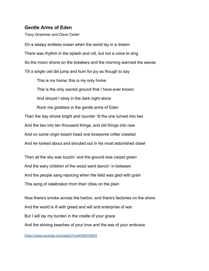#### **Gentle Arms of Eden**

*Tracy [Grammer](https://www.cowboylyrics.com/lyrics/dave-carter-and-tracy-grammer.html) and Dave Carter*

On a sleepy endless ocean when the world lay in a dream There was rhythm in the splash and roll, but not a voice to sing So the moon shone on the breakers and the morning warmed the waves Till a single cell did jump and hum for joy as though to say

This is my home; this is my only home This is the only sacred ground that I have ever known And should I stray in the dark night alone Rock me goddess in the gentle arms of Eden Then the day shone bright and rounder 'til the one turned into two And the two into ten thousand things, and old things into new And on some virgin beach head one lonesome critter crawled And he looked about and shouted out in his most astonished drawl

Then all the sky was buzzin' and the ground was carpet green And the wary children of the wood went dancin' in between And the people sang rejoicing when the field was glad with grain This song of celebration from their cities on the plain

Now there's smoke across the harbor, and there's factories on the shore And the world is ill with greed and will and enterprise of war But I will lay my burden in the cradle of your grace And the shining beaches of your love and the sea of your embrace

<https://www.youtube.com/watch?v=bAGMATHlSK4>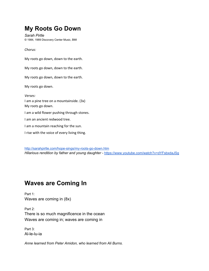# **My Roots Go Down**

*Sarah Pirtle* © 1984, 1989 Discovery Center Music, BMI

*Chorus:*

My roots go down, down to the earth.

My roots go down, down to the earth.

My roots go down, down to the earth.

My roots go down.

*Verses:* I am a pine tree on a mountainside. (3x) My roots go down. I am a wild flower pushing through stones. I am an ancient redwood tree.

I am a mountain reaching for the sun.

I rise with the voice of every living thing.

<http://sarahpirtle.com/hope-sings/my-roots-go-down.htm> Hilarious rendition by father and young daughter [-](https://www.youtube.com/watch?v=dYFsbxdaJSg) <https://www.youtube.com/watch?v=dYFsbxdaJSg>

### **Waves are Coming In**

Part 1: Waves are coming in (8x)

Part 2: There is so much magnificence in the ocean Waves are coming in; waves are coming in

Part 3: Al-le-lu-ia

*Anne learned from Peter Amidon, who learned from Ali Burns.*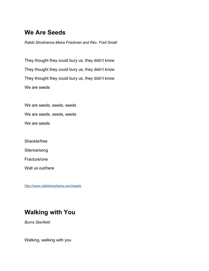# **We Are Seeds**

*Rabbi Shoshanna Meira Friedman and Rev. Fred Small*

They thought they could bury us, they didn't know They thought they could bury us, they didn't know They thought they could bury us, they didn't know We are seeds

We are seeds, seeds, seeds We are seeds, seeds, seeds We are seeds

Shackle/free

Silence/song

Fracture/one

Wall us out/here

<http://www.rabbishoshana.com/seeds>

#### **Walking with You**

*Burns Stanfield*

Walking, walking with you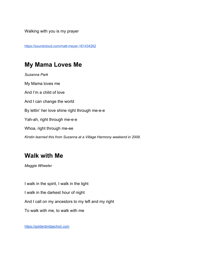Walking with you is my prayer

<https://soundcloud.com/matt-meyer-161434262>

### **My Mama Loves Me**

*Suzanna Park* My Mama loves me And I'm a child of love And I can change the world By lettin' her love shine right through me-e-e Yah-ah, right through me-e-e Whoa, right through me-ee *Kirstin learned this from Suzanna at a Village Harmony weekend in 2009.*

#### **Walk with Me**

*Maggie Wheeler*

I walk in the spirit, I walk in the light I walk in the darkest hour of night And I call on my ancestors to my left and my right To walk with me, to walk with me

[https://goldenbridgechoir.com](https://goldenbridgechoir.com/)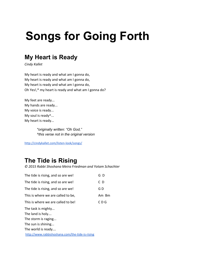# **Songs for Going Forth**

# **My Heart is Ready**

*Cindy Kallet*

My heart is ready and what am I gonna do, My heart is ready and what am I gonna do, My heart is ready and what am I gonna do, Oh Yes!,\* my heart is ready and what am I gonna do?

My feet are ready... My hands are ready... My voice is ready... My soul is ready<sup>^</sup>... My heart is ready...

> *\*originally written: "Oh God," ^this verse not in the original version*

<http://cindykallet.com/listen-look/songs/>

# **The Tide is Rising**

*© 2015 Rabbi Shoshana Meira Friedman and Yotam Schachter*

| The tide is rising, and so are we!                                                                        | GD    |
|-----------------------------------------------------------------------------------------------------------|-------|
| The tide is rising, and so are we!                                                                        | C D   |
| The tide is rising, and so are we!                                                                        | G D   |
| This is where we are called to be,                                                                        | Am Bm |
| This is where we are called to be!                                                                        | CD G  |
| The task is mighty<br>The land is holy<br>The storm is raging<br>The sun is shining<br>The world is ready |       |
| http://www.rabbishoshana.com/the-tide-is-rising                                                           |       |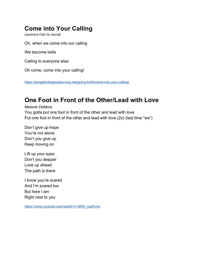# **Come into Your Calling**

*Laurence Cole (a round)*

Oh, when we come into our calling

We become bells

Calling to everyone else:

Oh come, come into your calling!

<https://songsforthegreatturning.net/going-forth/come-into-your-calling/>

# **One Foot in Front of the Other/Lead with Love**

*Melanie DeMore* You gotta put one foot in front of the other and lead with love Put one foot in front of the other and lead with love (2x) (last time "we")

Don't give up hope You're not alone Don't you give up Keep moving on

Lift up your eyes Don't you despair Look up ahead The path is there

I know you're scared And I'm scared too But here I am Right next to you

[https://www.youtube.com/watch?v=8KN\\_nqsKvwc](https://www.youtube.com/watch?v=8KN_nqsKvwc)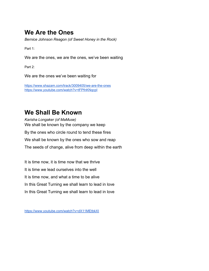# **We Are the Ones**

*Bernice Johnson Reagon (of Sweet Honey in the Rock)*

Part 1:

We are the ones, we are the ones, we've been waiting

Part 2:

We are the ones we've been waiting for

<https://www.shazam.com/track/3009405/we-are-the-ones> <https://www.youtube.com/watch?v=tFPfnKNqcpI>

## **We Shall Be Known**

*Karisha Longaker (of MaMuse)* We shall be known by the company we keep By the ones who circle round to tend these fires We shall be known by the ones who sow and reap The seeds of change, alive from deep within the earth

It is time now, it is time now that we thrive It is time we lead ourselves into the well It is time now, and what a time to be alive In this Great Turning we shall learn to lead in love In this Great Turning we shall learn to lead in love

<https://www.youtube.com/watch?v=dX11MEtbkXI>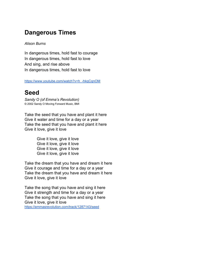# **Dangerous Times**

#### *Alison Burns*

In dangerous times, hold fast to courage In dangerous times, hold fast to love And sing, and rise above In dangerous times, hold fast to love

[https://www.youtube.com/watch?v=h\\_-hkqCqnOM](https://www.youtube.com/watch?v=h_-hkqCqnOM)

## **Seed**

*Sandy O (of Emma's Revolution)* © 2002 Sandy O Moving Forward Music, BMI

Take the seed that you have and plant it here Give it water and time for a day or a year Take the seed that you have and plant it here Give it love, give it love

> Give it love, give it love Give it love, give it love Give it love, give it love Give it love, give it love

Take the dream that you have and dream it here Give it courage and time for a day or a year Take the dream that you have and dream it here Give it love, give it love

Take the song that you have and sing it here Give it strength and time for a day or a year Take the song that you have and sing it here Give it love, give it love <https://emmasrevolution.com/track/1287143/seed>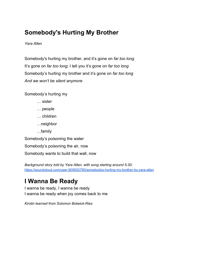# **Somebody's Hurting My Brother**

*Yara Allen*

Somebody's hurting my brother, and it's gone on *far too long* It's gone on *far too long*; I tell you it's gone on *far too long* Somebody's hurting my brother and it's gone on *far too long And we won't be silent anymore*

Somebody's hurting my

- … sister
- … people
- … children
- …neighbor
- …family

Somebody's poisoning the water Somebody's poisoning the air, now Somebody wants to build that wall, now

*Background story told by Yara Allen, with song starting around 5:30:* <https://soundcloud.com/user-909500790/somebodys-hurting-my-brother-by-yara-allen>

# **I Wanna Be Ready**

I wanna be ready, I wanna be ready I wanna be ready when joy comes back to me

*Kirstin learned from Solomon Botwick-Ries*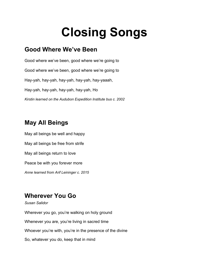# **Closing Songs**

# **Good Where We've Been**

Good where we've been, good where we're going to Good where we've been, good where we're going to Hay-yah, hay-yah, hay-yah, hay-yah, hay-yaaah, Hay-yah, hay-yah, hay-yah, hay-yah, Ho *Kirstin learned on the Audubon Expedition Institute bus c. 2002*

# **May All Beings**

May all beings be well and happy May all beings be free from strife May all beings return to love Peace be with you forever more *Anne learned from Arif Leininger c. 2015*

# **Wherever You Go**

*Susan Salidor*

Wherever you go, you're walking on holy ground Whenever you are, you're living in sacred time Whoever you're with, you're in the presence of the divine So, whatever you do, keep that in mind